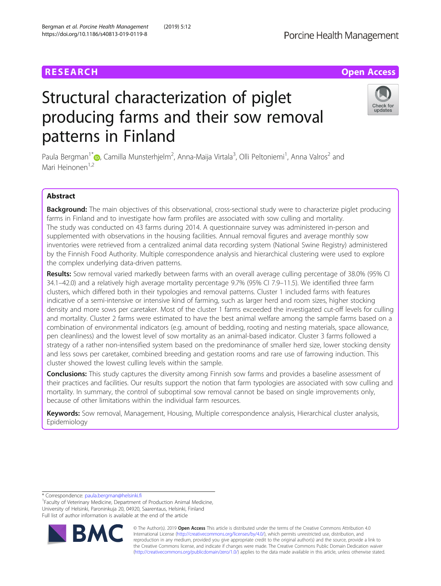# **RESEARCH CHE Open Access**

https://doi.org/10.1186/s40813-019-0119-8

# Structural characterization of piglet producing farms and their sow removal patterns in Finland

Paula Bergman<sup>1[\\*](http://orcid.org/0000-0002-1646-8797)</sup>�, Camilla Munsterhjelm<sup>2</sup>, Anna-Maija Virtala<sup>3</sup>, Olli Peltoniemi<sup>1</sup>, Anna Valros<sup>2</sup> and Mari Heinonen<sup>1,2</sup>

# Abstract

Background: The main objectives of this observational, cross-sectional study were to characterize piglet producing farms in Finland and to investigate how farm profiles are associated with sow culling and mortality. The study was conducted on 43 farms during 2014. A questionnaire survey was administered in-person and supplemented with observations in the housing facilities. Annual removal figures and average monthly sow inventories were retrieved from a centralized animal data recording system (National Swine Registry) administered by the Finnish Food Authority. Multiple correspondence analysis and hierarchical clustering were used to explore the complex underlying data-driven patterns.

Results: Sow removal varied markedly between farms with an overall average culling percentage of 38.0% (95% CI 34.1–42.0) and a relatively high average mortality percentage 9.7% (95% CI 7.9–11.5). We identified three farm clusters, which differed both in their typologies and removal patterns. Cluster 1 included farms with features indicative of a semi-intensive or intensive kind of farming, such as larger herd and room sizes, higher stocking density and more sows per caretaker. Most of the cluster 1 farms exceeded the investigated cut-off levels for culling and mortality. Cluster 2 farms were estimated to have the best animal welfare among the sample farms based on a combination of environmental indicators (e.g. amount of bedding, rooting and nesting materials, space allowance, pen cleanliness) and the lowest level of sow mortality as an animal-based indicator. Cluster 3 farms followed a strategy of a rather non-intensified system based on the predominance of smaller herd size, lower stocking density and less sows per caretaker, combined breeding and gestation rooms and rare use of farrowing induction. This cluster showed the lowest culling levels within the sample.

**Conclusions:** This study captures the diversity among Finnish sow farms and provides a baseline assessment of their practices and facilities. Our results support the notion that farm typologies are associated with sow culling and mortality. In summary, the control of suboptimal sow removal cannot be based on single improvements only, because of other limitations within the individual farm resources.

Keywords: Sow removal, Management, Housing, Multiple correspondence analysis, Hierarchical cluster analysis, Epidemiology

\* Correspondence: [paula.bergman@helsinki.fi](mailto:paula.bergman@helsinki.fi) <sup>1</sup>

© The Author(s). 2019 **Open Access** This article is distributed under the terms of the Creative Commons Attribution 4.0 International License [\(http://creativecommons.org/licenses/by/4.0/](http://creativecommons.org/licenses/by/4.0/)), which permits unrestricted use, distribution, and reproduction in any medium, provided you give appropriate credit to the original author(s) and the source, provide a link to the Creative Commons license, and indicate if changes were made. The Creative Commons Public Domain Dedication waiver [\(http://creativecommons.org/publicdomain/zero/1.0/](http://creativecommons.org/publicdomain/zero/1.0/)) applies to the data made available in this article, unless otherwise stated.





<sup>&</sup>lt;sup>1</sup> Faculty of Veterinary Medicine, Department of Production Animal Medicine, University of Helsinki, Paroninkuja 20, 04920, Saarentaus, Helsinki, Finland Full list of author information is available at the end of the article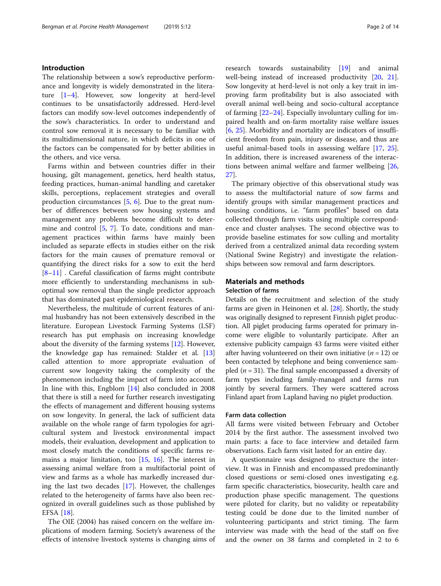# Introduction

The relationship between a sow's reproductive performance and longevity is widely demonstrated in the literature [\[1](#page-12-0)–[4](#page-12-0)]. However, sow longevity at herd-level continues to be unsatisfactorily addressed. Herd-level factors can modify sow-level outcomes independently of the sow's characteristics. In order to understand and control sow removal it is necessary to be familiar with its multidimensional nature, in which deficits in one of the factors can be compensated for by better abilities in the others, and vice versa.

Farms within and between countries differ in their housing, gilt management, genetics, herd health status, feeding practices, human-animal handling and caretaker skills, perceptions, replacement strategies and overall production circumstances [\[5](#page-12-0), [6\]](#page-12-0). Due to the great number of differences between sow housing systems and management any problems become difficult to determine and control [[5](#page-12-0), [7\]](#page-12-0). To date, conditions and management practices within farms have mainly been included as separate effects in studies either on the risk factors for the main causes of premature removal or quantifying the direct risks for a sow to exit the herd [[8](#page-12-0)–[11\]](#page-12-0) . Careful classification of farms might contribute more efficiently to understanding mechanisms in suboptimal sow removal than the single predictor approach that has dominated past epidemiological research.

Nevertheless, the multitude of current features of animal husbandry has not been extensively described in the literature. European Livestock Farming Systems (LSF) research has put emphasis on increasing knowledge about the diversity of the farming systems [\[12](#page-12-0)]. However, the knowledge gap has remained: Stalder et al. [[13](#page-12-0)] called attention to more appropriate evaluation of current sow longevity taking the complexity of the phenomenon including the impact of farm into account. In line with this, Engblom [[14](#page-12-0)] also concluded in 2008 that there is still a need for further research investigating the effects of management and different housing systems on sow longevity. In general, the lack of sufficient data available on the whole range of farm typologies for agricultural system and livestock environmental impact models, their evaluation, development and application to most closely match the conditions of specific farms remains a major limitation, too [\[15](#page-12-0), [16\]](#page-12-0). The interest in assessing animal welfare from a multifactorial point of view and farms as a whole has markedly increased during the last two decades [[17\]](#page-12-0). However, the challenges related to the heterogeneity of farms have also been recognized in overall guidelines such as those published by EFSA [\[18](#page-12-0)].

The OIE (2004) has raised concern on the welfare implications of modern farming. Society's awareness of the effects of intensive livestock systems is changing aims of research towards sustainability [[19\]](#page-12-0) and animal well-being instead of increased productivity [\[20](#page-12-0), [21](#page-12-0)]. Sow longevity at herd-level is not only a key trait in improving farm profitability but is also associated with overall animal well-being and socio-cultural acceptance of farming [\[22](#page-12-0)–[24](#page-12-0)]. Especially involuntary culling for impaired health and on-farm mortality raise welfare issues [[6,](#page-12-0) [25](#page-12-0)]. Morbidity and mortality are indicators of insufficient freedom from pain, injury or disease, and thus are useful animal-based tools in assessing welfare [[17,](#page-12-0) [25](#page-12-0)]. In addition, there is increased awareness of the interactions between animal welfare and farmer wellbeing [[26](#page-12-0), [27\]](#page-12-0).

The primary objective of this observational study was to assess the multifactorial nature of sow farms and identify groups with similar management practices and housing conditions, i.e. "farm profiles" based on data collected through farm visits using multiple correspondence and cluster analyses. The second objective was to provide baseline estimates for sow culling and mortality derived from a centralized animal data recording system (National Swine Registry) and investigate the relationships between sow removal and farm descriptors.

# Materials and methods

# Selection of farms

Details on the recruitment and selection of the study farms are given in Heinonen et al. [\[28](#page-12-0)]. Shortly, the study was originally designed to represent Finnish piglet production. All piglet producing farms operated for primary income were eligible to voluntarily participate. After an extensive publicity campaign 43 farms were visited either after having volunteered on their own initiative ( $n = 12$ ) or been contacted by telephone and being convenience sampled ( $n = 31$ ). The final sample encompassed a diversity of farm types including family-managed and farms run jointly by several farmers. They were scattered across Finland apart from Lapland having no piglet production.

#### Farm data collection

All farms were visited between February and October 2014 by the first author. The assessment involved two main parts: a face to face interview and detailed farm observations. Each farm visit lasted for an entire day.

A questionnaire was designed to structure the interview. It was in Finnish and encompassed predominantly closed questions or semi-closed ones investigating e.g. farm specific characteristics, biosecurity, health care and production phase specific management. The questions were piloted for clarity, but no validity or repeatability testing could be done due to the limited number of volunteering participants and strict timing. The farm interview was made with the head of the staff on five and the owner on 38 farms and completed in 2 to 6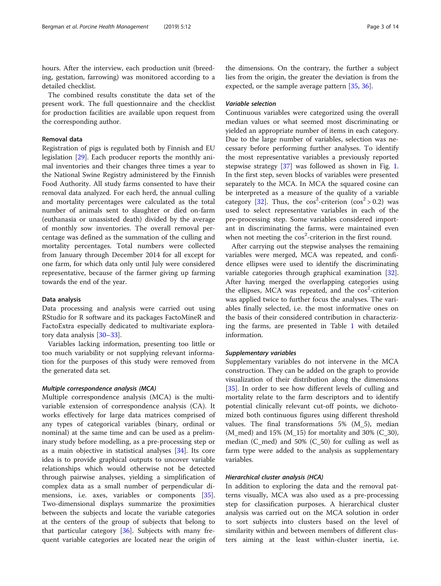hours. After the interview, each production unit (breeding, gestation, farrowing) was monitored according to a detailed checklist.

The combined results constitute the data set of the present work. The full questionnaire and the checklist for production facilities are available upon request from the corresponding author.

#### Removal data

Registration of pigs is regulated both by Finnish and EU legislation [[29\]](#page-12-0). Each producer reports the monthly animal inventories and their changes three times a year to the National Swine Registry administered by the Finnish Food Authority. All study farms consented to have their removal data analyzed. For each herd, the annual culling and mortality percentages were calculated as the total number of animals sent to slaughter or died on-farm (euthanasia or unassisted death) divided by the average of monthly sow inventories. The overall removal percentage was defined as the summation of the culling and mortality percentages. Total numbers were collected from January through December 2014 for all except for one farm, for which data only until July were considered representative, because of the farmer giving up farming towards the end of the year.

#### Data analysis

Data processing and analysis were carried out using RStudio for R software and its packages FactoMineR and FactoExtra especially dedicated to multivariate exploratory data analysis [[30](#page-12-0)–[33](#page-12-0)].

Variables lacking information, presenting too little or too much variability or not supplying relevant information for the purposes of this study were removed from the generated data set.

#### Multiple correspondence analysis (MCA)

Multiple correspondence analysis (MCA) is the multivariable extension of correspondence analysis (CA). It works effectively for large data matrices comprised of any types of categorical variables (binary, ordinal or nominal) at the same time and can be used as a preliminary study before modelling, as a pre-processing step or as a main objective in statistical analyses [[34\]](#page-12-0). Its core idea is to provide graphical outputs to uncover variable relationships which would otherwise not be detected through pairwise analyses, yielding a simplification of complex data as a small number of perpendicular di-mensions, i.e. axes, variables or components [\[35](#page-13-0)]. Two-dimensional displays summarize the proximities between the subjects and locate the variable categories at the centers of the group of subjects that belong to that particular category [\[36](#page-13-0)]. Subjects with many frequent variable categories are located near the origin of

the dimensions. On the contrary, the further a subject lies from the origin, the greater the deviation is from the expected, or the sample average pattern [[35,](#page-13-0) [36\]](#page-13-0).

## Variable selection

Continuous variables were categorized using the overall median values or what seemed most discriminating or yielded an appropriate number of items in each category. Due to the large number of variables, selection was necessary before performing further analyses. To identify the most representative variables a previously reported stepwise strategy [\[37\]](#page-13-0) was followed as shown in Fig. [1](#page-3-0). In the first step, seven blocks of variables were presented separately to the MCA. In MCA the squared cosine can be interpreted as a measure of the quality of a variable category [\[32](#page-12-0)]. Thus, the  $cos^2$ -criterion  $(cos^2 > 0.2)$  was used to select representative variables in each of the pre-processing step. Some variables considered important in discriminating the farms, were maintained even when not meeting the cos<sup>2</sup>-criterion in the first round.

After carrying out the stepwise analyses the remaining variables were merged, MCA was repeated, and confidence ellipses were used to identify the discriminating variable categories through graphical examination [\[32](#page-12-0)]. After having merged the overlapping categories using the ellipses, MCA was repeated, and the cos<sup>2</sup>-criterion was applied twice to further focus the analyses. The variables finally selected, i.e. the most informative ones on the basis of their considered contribution in characterizing the farms, are presented in Table [1](#page-4-0) with detailed information.

#### Supplementary variables

Supplementary variables do not intervene in the MCA construction. They can be added on the graph to provide visualization of their distribution along the dimensions [[35\]](#page-13-0). In order to see how different levels of culling and mortality relate to the farm descriptors and to identify potential clinically relevant cut-off points, we dichotomized both continuous figures using different threshold values. The final transformations 5% (M\_5), median  $(M_{\text{med}})$  and 15%  $(M_{\text{th}})$  for mortality and 30%  $(C_{\text{th}})$ , median (C\_med) and 50% (C\_50) for culling as well as farm type were added to the analysis as supplementary variables.

#### Hierarchical cluster analysis (HCA)

In addition to exploring the data and the removal patterns visually, MCA was also used as a pre-processing step for classification purposes. A hierarchical cluster analysis was carried out on the MCA solution in order to sort subjects into clusters based on the level of similarity within and between members of different clusters aiming at the least within-cluster inertia, i.e.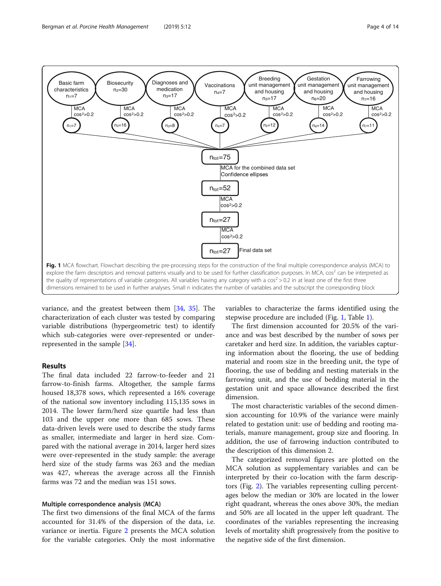<span id="page-3-0"></span>

variance, and the greatest between them [[34,](#page-12-0) [35](#page-13-0)]. The characterization of each cluster was tested by comparing variable distributions (hypergeometric test) to identify which sub-categories were over-represented or underrepresented in the sample [[34\]](#page-12-0).

# Results

The final data included 22 farrow-to-feeder and 21 farrow-to-finish farms. Altogether, the sample farms housed 18,378 sows, which represented a 16% coverage of the national sow inventory including 115,135 sows in 2014. The lower farm/herd size quartile had less than 103 and the upper one more than 685 sows. These data-driven levels were used to describe the study farms as smaller, intermediate and larger in herd size. Compared with the national average in 2014, larger herd sizes were over-represented in the study sample: the average herd size of the study farms was 263 and the median was 427, whereas the average across all the Finnish farms was 72 and the median was 151 sows.

## Multiple correspondence analysis (MCA)

The first two dimensions of the final MCA of the farms accounted for 31.4% of the dispersion of the data, i.e. variance or inertia. Figure [2](#page-5-0) presents the MCA solution for the variable categories. Only the most informative

variables to characterize the farms identified using the stepwise procedure are included (Fig. 1, Table [1\)](#page-4-0).

The first dimension accounted for 20.5% of the variance and was best described by the number of sows per caretaker and herd size. In addition, the variables capturing information about the flooring, the use of bedding material and room size in the breeding unit, the type of flooring, the use of bedding and nesting materials in the farrowing unit, and the use of bedding material in the gestation unit and space allowance described the first dimension.

The most characteristic variables of the second dimension accounting for 10.9% of the variance were mainly related to gestation unit: use of bedding and rooting materials, manure management, group size and flooring. In addition, the use of farrowing induction contributed to the description of this dimension 2.

The categorized removal figures are plotted on the MCA solution as supplementary variables and can be interpreted by their co-location with the farm descriptors (Fig. [2\)](#page-5-0). The variables representing culling percentages below the median or 30% are located in the lower right quadrant, whereas the ones above 30%, the median and 50% are all located in the upper left quadrant. The coordinates of the variables representing the increasing levels of mortality shift progressively from the positive to the negative side of the first dimension.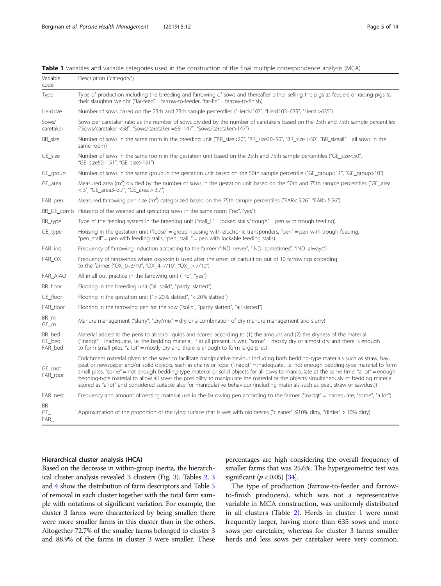| Variable<br>code            | Description ("category")                                                                                                                                                                                                                                                                                                                                                                                                                                                                                                                                                                                                                                                                        |
|-----------------------------|-------------------------------------------------------------------------------------------------------------------------------------------------------------------------------------------------------------------------------------------------------------------------------------------------------------------------------------------------------------------------------------------------------------------------------------------------------------------------------------------------------------------------------------------------------------------------------------------------------------------------------------------------------------------------------------------------|
| Type                        | Type of production including the breeding and farrowing of sows and thereafter either selling the pigs as feeders or raising pigs to<br>their slaughter weight ("far-feed" = farrow-to-feeder, "far-fin" = farrow-to-finish)                                                                                                                                                                                                                                                                                                                                                                                                                                                                    |
| Herdsize                    | Number of sows based on the 25th and 75th sample percentiles ("Herd<103", "Herd103-635", "Herd >635")                                                                                                                                                                                                                                                                                                                                                                                                                                                                                                                                                                                           |
| Sows/<br>caretaker          | Sows per caretaker-ratio as the number of sows divided by the number of caretakers based on the 25th and 75th sample percentiles<br>("Sows/caretaker <58", "Sows/caretaker =58-147", "Sows/caretaker>147")                                                                                                                                                                                                                                                                                                                                                                                                                                                                                      |
| BR_size                     | Number of sows in the same room in the breeding unit ("BR_size<20", "BR_size20-50", "BR_size >50", "BR_sizeall" = all sows in the<br>same room)                                                                                                                                                                                                                                                                                                                                                                                                                                                                                                                                                 |
| GE_size                     | Number of sows in the same room in the gestation unit based on the 25th and 75th sample percentiles ("GE_size<50",<br>"GE_size50-151", "GE_size>151")                                                                                                                                                                                                                                                                                                                                                                                                                                                                                                                                           |
| GE_group                    | Number of sows in the same group in the gestation unit based on the 50th sample percentile ("GE_group<11", "GE_group>10")                                                                                                                                                                                                                                                                                                                                                                                                                                                                                                                                                                       |
| GE_area                     | Measured area ( $m^2$ ) divided by the number of sows in the gestation unit based on the 50th and 75th sample percentiles ("GE_area<br>< 3", "GE_area3-3.7", "GE_area > 3.7")                                                                                                                                                                                                                                                                                                                                                                                                                                                                                                                   |
| FAR_pen                     | Measured farrowing pen size (m <sup>2</sup> ) categorized based on the 75th sample percentiles ("FAR< 5.26", "FAR> 5.26")                                                                                                                                                                                                                                                                                                                                                                                                                                                                                                                                                                       |
|                             | BR_GE_comb Housing of the weaned and gestating sows in the same room ("no", "yes")                                                                                                                                                                                                                                                                                                                                                                                                                                                                                                                                                                                                              |
| BR_type                     | Type of the feeding system in the breeding unit ("stall_L" = locked stalls, "trough" = pen with trough feeding)                                                                                                                                                                                                                                                                                                                                                                                                                                                                                                                                                                                 |
| GE_type                     | Housing in the gestation unit ("loose" = group housing with electronic transponders, "pen" = pen with trough feeding,<br>"pen_stall" = pen with feeding stalls, "pen_stallL" = pen with lockable feeding stalls)                                                                                                                                                                                                                                                                                                                                                                                                                                                                                |
| FAR_ind                     | Frequency of farrowing induction according to the farmer ("IND_never", "IND_sometimes", "IND_always")                                                                                                                                                                                                                                                                                                                                                                                                                                                                                                                                                                                           |
| FAR_OX                      | Frequency of farrowings where oxytocin is used after the onset of parturition out of 10 farrowings according<br>to the farmer ("OX_0-3/10", "OX_4-7/10", "OX_ > 7/10")                                                                                                                                                                                                                                                                                                                                                                                                                                                                                                                          |
| FAR_AIAO                    | All in all out practice in the farrowing unit ("no", "yes")                                                                                                                                                                                                                                                                                                                                                                                                                                                                                                                                                                                                                                     |
| BR_floor                    | Flooring in the breeding unit ("all solid", "partly_slatted")                                                                                                                                                                                                                                                                                                                                                                                                                                                                                                                                                                                                                                   |
| GE_floor                    | Flooring in the gestation unit ( $\degree$ > 20% slatted", $\degree$ < 20% slatted")                                                                                                                                                                                                                                                                                                                                                                                                                                                                                                                                                                                                            |
| FAR_floor                   | Flooring in the farrowing pen for the sow ("solid", "partly slatted", "all slatted")                                                                                                                                                                                                                                                                                                                                                                                                                                                                                                                                                                                                            |
| BR_m<br>GE_m                | Manure management ("slurry", "dry/mix" = dry or a combination of dry manure management and slurry)                                                                                                                                                                                                                                                                                                                                                                                                                                                                                                                                                                                              |
| BR bed<br>GE_bed<br>FAR_bed | Material added to the pens to absorb liquids and scored according to (1) the amount and (2) the dryness of the material<br>("inadqt" = inadequate, i.e. the bedding material, if at all present, is wet, "some" = mostly dry or almost dry and there is enough<br>to form small piles, "a lot" = mostly dry and there is enough to form large piles)                                                                                                                                                                                                                                                                                                                                            |
| GE_root<br>FAR root         | Enrichment material given to the sows to facilitate manipulative beviour including both bedding-type materials such as straw, hay,<br>peat or newspaper and/or solid objects, such as chains or rope. ("inadqt" = inadequate, i.e. not enough bedding-type material to form<br>small piles, "some" = not enough bedding-type material or solid objects for all sows to manipulate at the same time, "a lot" = enough<br>bedding-type material to allow all sows the possibility to manipulate the material or the objects simultaneously or bedding material<br>scored as "a lot" and considered suitable also for manipulative behaviour (including materials such as peat, straw or sawdust)) |
| FAR_nest                    | Frequency and amount of nesting material use in the farrowing pen according to the farmer ("inadqt" = inadequate, "some", "a lot")                                                                                                                                                                                                                                                                                                                                                                                                                                                                                                                                                              |
| BR<br>GE<br>FAR             | Approximation of the proportion of the lying surface that is wet with old faeces ("cleaner" $\leq$ 10% dirty, "dirtier" > 10% dirty)                                                                                                                                                                                                                                                                                                                                                                                                                                                                                                                                                            |

<span id="page-4-0"></span>Table 1 Variables and variable categories used in the construction of the final multiple correspondence analysis (MCA)

# Hierarchical cluster analysis (HCA)

Based on the decrease in within-group inertia, the hierarchical cluster analysis revealed 3 clusters (Fig. [3\)](#page-6-0). Tables [2](#page-7-0), [3](#page-8-0) and [4](#page-9-0) show the distribution of farm descriptors and Table [5](#page-10-0) of removal in each cluster together with the total farm sample with notations of significant variation. For example, the cluster 3 farms were characterized by being smaller: there were more smaller farms in this cluster than in the others. Altogether 72.7% of the smaller farms belonged to cluster 3 and 88.9% of the farms in cluster 3 were smaller. These percentages are high considering the overall frequency of smaller farms that was 25.6%. The hypergeometric test was significant  $(p < 0.05)$  [[34](#page-12-0)].

The type of production (farrow-to-feeder and farrowto-finish producers), which was not a representative variable in MCA construction, was uniformly distributed in all clusters (Table [2\)](#page-7-0). Herds in cluster 1 were most frequently larger, having more than 635 sows and more sows per caretaker, whereas for cluster 3 farms smaller herds and less sows per caretaker were very common.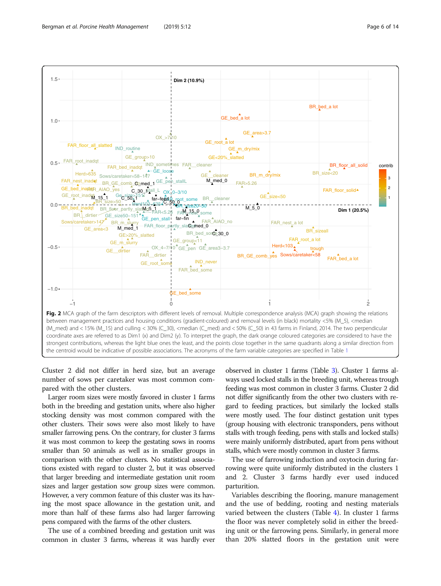<span id="page-5-0"></span>

Cluster 2 did not differ in herd size, but an average number of sows per caretaker was most common compared with the other clusters.

Larger room sizes were mostly favored in cluster 1 farms both in the breeding and gestation units, where also higher stocking density was most common compared with the other clusters. Their sows were also most likely to have smaller farrowing pens. On the contrary, for cluster 3 farms it was most common to keep the gestating sows in rooms smaller than 50 animals as well as in smaller groups in comparison with the other clusters. No statistical associations existed with regard to cluster 2, but it was observed that larger breeding and intermediate gestation unit room sizes and larger gestation sow group sizes were common. However, a very common feature of this cluster was its having the most space allowance in the gestation unit, and more than half of these farms also had larger farrowing pens compared with the farms of the other clusters.

The use of a combined breeding and gestation unit was common in cluster 3 farms, whereas it was hardly ever observed in cluster 1 farms (Table [3\)](#page-8-0). Cluster 1 farms always used locked stalls in the breeding unit, whereas trough feeding was most common in cluster 3 farms. Cluster 2 did not differ significantly from the other two clusters with regard to feeding practices, but similarly the locked stalls were mostly used. The four distinct gestation unit types (group housing with electronic transponders, pens without stalls with trough feeding, pens with stalls and locked stalls) were mainly uniformly distributed, apart from pens without stalls, which were mostly common in cluster 3 farms.

The use of farrowing induction and oxytocin during farrowing were quite uniformly distributed in the clusters 1 and 2. Cluster 3 farms hardly ever used induced parturition.

Variables describing the flooring, manure management and the use of bedding, rooting and nesting materials varied between the clusters (Table [4](#page-9-0)). In cluster 1 farms the floor was never completely solid in either the breeding unit or the farrowing pens. Similarly, in general more than 20% slatted floors in the gestation unit were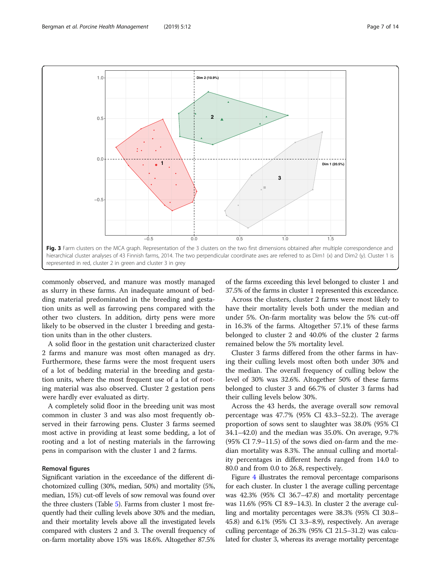<span id="page-6-0"></span>

commonly observed, and manure was mostly managed as slurry in these farms. An inadequate amount of bedding material predominated in the breeding and gestation units as well as farrowing pens compared with the other two clusters. In addition, dirty pens were more likely to be observed in the cluster 1 breeding and gestation units than in the other clusters.

A solid floor in the gestation unit characterized cluster 2 farms and manure was most often managed as dry. Furthermore, these farms were the most frequent users of a lot of bedding material in the breeding and gestation units, where the most frequent use of a lot of rooting material was also observed. Cluster 2 gestation pens were hardly ever evaluated as dirty.

A completely solid floor in the breeding unit was most common in cluster 3 and was also most frequently observed in their farrowing pens. Cluster 3 farms seemed most active in providing at least some bedding, a lot of rooting and a lot of nesting materials in the farrowing pens in comparison with the cluster 1 and 2 farms.

# Removal figures

Significant variation in the exceedance of the different dichotomized culling (30%, median, 50%) and mortality (5%, median, 15%) cut-off levels of sow removal was found over the three clusters (Table [5\)](#page-10-0). Farms from cluster 1 most frequently had their culling levels above 30% and the median, and their mortality levels above all the investigated levels compared with clusters 2 and 3. The overall frequency of on-farm mortality above 15% was 18.6%. Altogether 87.5%

of the farms exceeding this level belonged to cluster 1 and 37.5% of the farms in cluster 1 represented this exceedance.

Across the clusters, cluster 2 farms were most likely to have their mortality levels both under the median and under 5%. On-farm mortality was below the 5% cut-off in 16.3% of the farms. Altogether 57.1% of these farms belonged to cluster 2 and 40.0% of the cluster 2 farms remained below the 5% mortality level.

Cluster 3 farms differed from the other farms in having their culling levels most often both under 30% and the median. The overall frequency of culling below the level of 30% was 32.6%. Altogether 50% of these farms belonged to cluster 3 and 66.7% of cluster 3 farms had their culling levels below 30%.

Across the 43 herds, the average overall sow removal percentage was 47.7% (95% CI 43.3–52.2). The average proportion of sows sent to slaughter was 38.0% (95% CI 34.1–42.0) and the median was 35.0%. On average, 9.7% (95% CI 7.9–11.5) of the sows died on-farm and the median mortality was 8.3%. The annual culling and mortality percentages in different herds ranged from 14.0 to 80.0 and from 0.0 to 26.8, respectively.

Figure [4](#page-10-0) illustrates the removal percentage comparisons for each cluster. In cluster 1 the average culling percentage was 42.3% (95% CI 36.7–47.8) and mortality percentage was 11.6% (95% CI 8.9–14.3). In cluster 2 the average culling and mortality percentages were 38.3% (95% CI 30.8– 45.8) and 6.1% (95% CI 3.3–8.9), respectively. An average culling percentage of 26.3% (95% CI 21.5–31.2) was calculated for cluster 3, whereas its average mortality percentage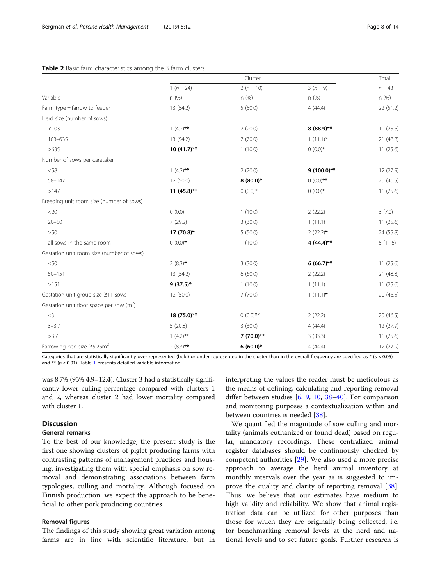#### <span id="page-7-0"></span>Table 2 Basic farm characteristics among the 3 farm clusters

|                                              | Cluster        |              |               | Total     |
|----------------------------------------------|----------------|--------------|---------------|-----------|
|                                              | $1(n=24)$      | $2(n=10)$    | $3(n=9)$      | $n = 43$  |
| Variable                                     | n (%)          | n(%)         | n(%)          | n(%)      |
| Farm type = farrow to feeder                 | 13 (54.2)      | 5(50.0)      | 4(44.4)       | 22 (51.2) |
| Herd size (number of sows)                   |                |              |               |           |
| < 103                                        | $1(4.2)$ **    | 2(20.0)      | $8(88.9)$ **  | 11(25.6)  |
| 103-635                                      | 13 (54.2)      | 7(70.0)      | $1(11.1)^*$   | 21 (48.8) |
| >635                                         | $10(41.7)$ **  | 1(10.0)      | $0(0.0)$ *    | 11(25.6)  |
| Number of sows per caretaker                 |                |              |               |           |
| $<$ 58                                       | $1(4.2)$ **    | 2(20.0)      | $9(100.0)$ ** | 12 (27.9) |
| $58 - 147$                                   | 12 (50.0)      | $8(80.0)*$   | $0(0.0)$ **   | 20 (46.5) |
| >147                                         | 11 $(45.8)$ ** | $0(0.0)$ *   | $0(0.0)$ *    | 11(25.6)  |
| Breeding unit room size (number of sows)     |                |              |               |           |
| $<$ 20                                       | 0(0.0)         | 1(10.0)      | 2(22.2)       | 3(7.0)    |
| $20 - 50$                                    | 7(29.2)        | 3(30.0)      | 1(11.1)       | 11(25.6)  |
| >50                                          | 17 (70.8)*     | 5(50.0)      | $2(22.2)$ *   | 24 (55.8) |
| all sows in the same room                    | $0(0.0)$ *     | 1(10.0)      | 4 $(44.4)$ ** | 5(11.6)   |
| Gestation unit room size (number of sows)    |                |              |               |           |
| < 50                                         | $2(8.3)$ *     | 3(30.0)      | $6(66.7)$ **  | 11(25.6)  |
| $50 - 151$                                   | 13 (54.2)      | 6(60.0)      | 2(22.2)       | 21 (48.8) |
| >151                                         | $9(37.5)*$     | 1(10.0)      | 1(11.1)       | 11(25.6)  |
| Gestation unit group size $\geq$ 11 sows     | 12(50.0)       | 7(70.0)      | $1(11.1)^*$   | 20(46.5)  |
| Gestation unit floor space per sow $(m2)$    |                |              |               |           |
| $<$ 3                                        | 18 (75.0)**    | $0(0.0)$ **  | 2(22.2)       | 20 (46.5) |
| $3 - 3.7$                                    | 5(20.8)        | 3(30.0)      | 4(44.4)       | 12 (27.9) |
| >3.7                                         | $1(4.2)$ **    | $7(70.0)$ ** | 3(33.3)       | 11(25.6)  |
| Farrowing pen size $\geq$ 5.26m <sup>2</sup> | $2(8.3)$ **    | $6(60.0)*$   | 4(44.4)       | 12 (27.9) |

Categories that are statistically significantly over-represented (bold) or under-represented in the cluster than in the overall frequency are specified as  $*(p < 0.05)$ and \*\*  $(p < 0.01)$  $(p < 0.01)$  $(p < 0.01)$ . Table 1 presents detailed variable information

was 8.7% (95% 4.9–12.4). Cluster 3 had a statistically significantly lower culling percentage compared with clusters 1 and 2, whereas cluster 2 had lower mortality compared with cluster 1.

# **Discussion**

# General remarks

To the best of our knowledge, the present study is the first one showing clusters of piglet producing farms with contrasting patterns of management practices and housing, investigating them with special emphasis on sow removal and demonstrating associations between farm typologies, culling and mortality. Although focused on Finnish production, we expect the approach to be beneficial to other pork producing countries.

## Removal figures

The findings of this study showing great variation among farms are in line with scientific literature, but in interpreting the values the reader must be meticulous as the means of defining, calculating and reporting removal differ between studies [\[6](#page-12-0), [9,](#page-12-0) [10](#page-12-0), [38](#page-13-0)–[40](#page-13-0)]. For comparison and monitoring purposes a contextualization within and between countries is needed [[38](#page-13-0)].

We quantified the magnitude of sow culling and mortality (animals euthanized or found dead) based on regular, mandatory recordings. These centralized animal register databases should be continuously checked by competent authorities [\[29\]](#page-12-0). We also used a more precise approach to average the herd animal inventory at monthly intervals over the year as is suggested to improve the quality and clarity of reporting removal [\[38](#page-13-0)]. Thus, we believe that our estimates have medium to high validity and reliability. We show that animal registration data can be utilized for other purposes than those for which they are originally being collected, i.e. for benchmarking removal levels at the herd and national levels and to set future goals. Further research is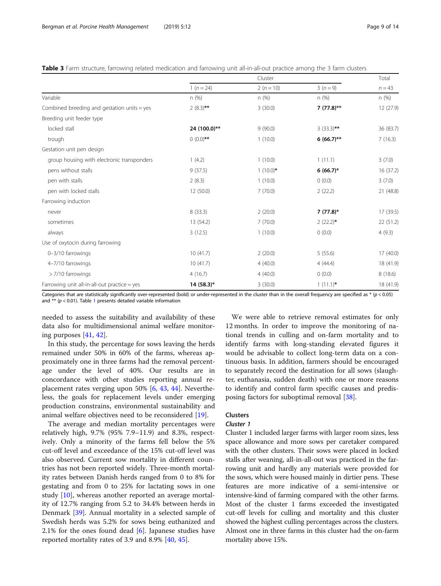<span id="page-8-0"></span>

| Table 3 Farm structure, farrowing related medication and farrowing unit all-in-all-out practice among the 3 farm clusters |  |  |  |
|---------------------------------------------------------------------------------------------------------------------------|--|--|--|
|                                                                                                                           |  |  |  |

|                                               |              | Cluster     |              |           |
|-----------------------------------------------|--------------|-------------|--------------|-----------|
|                                               | $1(n=24)$    | $2(n = 10)$ | $3(n=9)$     | $n = 43$  |
| Variable                                      | n(%)         | n(%)        | n(%)         | n(%)      |
| Combined breeding and gestation units $=$ yes | $2(8.3)$ **  | 3(30.0)     | $7(77.8)**$  | 12 (27.9) |
| Breeding unit feeder type                     |              |             |              |           |
| locked stall                                  | 24 (100.0)** | 9(90.0)     | $3(33.3)$ ** | 36 (83.7) |
| trough                                        | $(0.0)$ **   | 1(10.0)     | $6(66.7)$ ** | 7(16.3)   |
| Gestation unit pen design                     |              |             |              |           |
| group housing with electronic transponders    | 1(4.2)       | 1(10.0)     | 1(11.1)      | 3(7.0)    |
| pens without stalls                           | 9(37.5)      | $1(10.0)^*$ | $6(66.7)^*$  | 16 (37.2) |
| pen with stalls                               | 2(8.3)       | 1(10.0)     | 0(0.0)       | 3(7.0)    |
| pen with locked stalls                        | 12 (50.0)    | 7(70.0)     | 2(22.2)      | 21 (48.8) |
| Farrowing induction                           |              |             |              |           |
| never                                         | 8(33.3)      | 2(20.0)     | $7(77.8)$ *  | 17 (39.5) |
| sometimes                                     | 13 (54.2)    | 7(70.0)     | $2(22.2)$ *  | 22 (51.2) |
| always                                        | 3(12.5)      | 1(10.0)     | 0(0.0)       | 4(9.3)    |
| Use of oxytocin during farrowing              |              |             |              |           |
| 0-3/10 farrowings                             | 10(41.7)     | 2(20.0)     | 5(55.6)      | 17 (40.0) |
| 4-7/10 farrowings                             | 10(41.7)     | 4(40.0)     | 4(44.4)      | 18 (41.9) |
| > 7/10 farrowings                             | 4(16.7)      | 4(40.0)     | 0(0.0)       | 8(18.6)   |
| Farrowing unit all-in-all-out practice = yes  | $14(58.3)*$  | 3(30.0)     | $1(11.1)^*$  | 18 (41.9) |

Categories that are statistically significantly over-represented (bold) or under-represented in the cluster than in the overall frequency are specified as  $*(p < 0.05)$ and  $**$  ( $p < 0.01$  $p < 0.01$ ). Table 1 presents detailed variable information

needed to assess the suitability and availability of these data also for multidimensional animal welfare monitoring purposes [[41,](#page-13-0) [42\]](#page-13-0).

In this study, the percentage for sows leaving the herds remained under 50% in 60% of the farms, whereas approximately one in three farms had the removal percentage under the level of 40%. Our results are in concordance with other studies reporting annual replacement rates verging upon 50% [[6](#page-12-0), [43,](#page-13-0) [44\]](#page-13-0). Nevertheless, the goals for replacement levels under emerging production constrains, environmental sustainability and animal welfare objectives need to be reconsidered [[19](#page-12-0)].

The average and median mortality percentages were relatively high, 9.7% (95% 7.9–11.9) and 8.3%, respectively. Only a minority of the farms fell below the 5% cut-off level and exceedance of the 15% cut-off level was also observed. Current sow mortality in different countries has not been reported widely. Three-month mortality rates between Danish herds ranged from 0 to 8% for gestating and from 0 to 25% for lactating sows in one study [\[10\]](#page-12-0), whereas another reported an average mortality of 12.7% ranging from 5.2 to 34.4% between herds in Denmark [[39](#page-13-0)]. Annual mortality in a selected sample of Swedish herds was 5.2% for sows being euthanized and 2.1% for the ones found dead  $[6]$  $[6]$ . Japanese studies have reported mortality rates of 3.9 and 8.9% [[40,](#page-13-0) [45](#page-13-0)].

We were able to retrieve removal estimates for only 12 months. In order to improve the monitoring of national trends in culling and on-farm mortality and to identify farms with long-standing elevated figures it would be advisable to collect long-term data on a continuous basis. In addition, farmers should be encouraged to separately record the destination for all sows (slaughter, euthanasia, sudden death) with one or more reasons to identify and control farm specific causes and predisposing factors for suboptimal removal [[38\]](#page-13-0).

# Clusters

#### Cluster 1

Cluster 1 included larger farms with larger room sizes, less space allowance and more sows per caretaker compared with the other clusters. Their sows were placed in locked stalls after weaning, all-in-all-out was practiced in the farrowing unit and hardly any materials were provided for the sows, which were housed mainly in dirtier pens. These features are more indicative of a semi-intensive or intensive-kind of farming compared with the other farms. Most of the cluster 1 farms exceeded the investigated cut-off levels for culling and mortality and this cluster showed the highest culling percentages across the clusters. Almost one in three farms in this cluster had the on-farm mortality above 15%.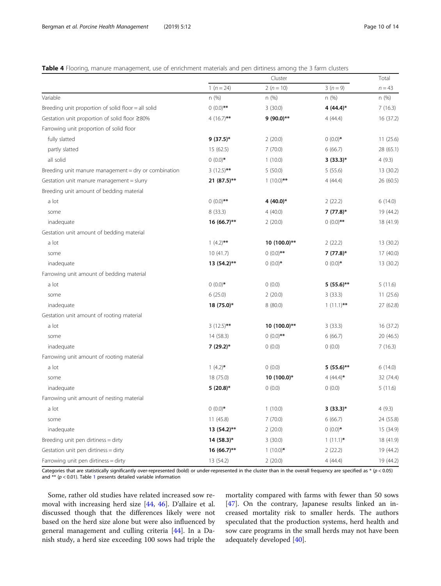#### <span id="page-9-0"></span>Table 4 Flooring, manure management, use of enrichment materials and pen dirtiness among the 3 farm clusters

|                                                      | Cluster       |              |              | Total     |
|------------------------------------------------------|---------------|--------------|--------------|-----------|
|                                                      | $1 (n = 24)$  | $2(n = 10)$  | $3(n=9)$     | $n = 43$  |
| Variable                                             | n (%)         | n (%)        | n (%)        | n(%)      |
| Breeding unit proportion of solid floor = all solid  | $0(0.0)$ **   | 3(30.0)      | 4 $(44.4)^*$ | 7(16.3)   |
| Gestation unit proportion of solid floor ≥80%        | 4 $(16.7)$ ** | $9(90.0)$ ** | 4(44.4)      | 16 (37.2) |
| Farrowing unit proportion of solid floor             |               |              |              |           |
| fully slatted                                        | $9(37.5)$ *   | 2(20.0)      | $0(0.0)$ *   | 11(25.6)  |
| partly slatted                                       | 15 (62.5)     | 7(70.0)      | 6(66.7)      | 28 (65.1) |
| all solid                                            | $0(0.0)$ *    | 1(10.0)      | $3(33.3)*$   | 4(9.3)    |
| Breeding unit manure management = dry or combination | $3(12.5)$ **  | 5(50.0)      | 5(55.6)      | 13 (30.2) |
| Gestation unit manure management = slurry            | 21 (87.5)**   | $1(10.0)$ ** | 4(44.4)      | 26 (60.5) |
| Breeding unit amount of bedding material             |               |              |              |           |
| a lot                                                | $0(0.0)$ **   | 4 $(40.0)$ * | 2(22.2)      | 6(14.0)   |
| some                                                 | 8(33.3)       | 4(40.0)      | $7(77.8)$ *  | 19 (44.2) |
| inadequate                                           | $16(66.7)$ ** | 2(20.0)      | $0(0.0)$ **  | 18 (41.9) |
| Gestation unit amount of bedding material            |               |              |              |           |
| a lot                                                | $1(4.2)$ **   | 10 (100.0)** | 2(22.2)      | 13 (30.2) |
| some                                                 | 10(41.7)      | $0(0.0)$ **  | $7(77.8)$ *  | 17 (40.0) |
| inadequate                                           | 13 (54.2)**   | $0(0.0)$ *   | $0(0.0)$ *   | 13 (30.2) |
| Farrowing unit amount of bedding material            |               |              |              |           |
| a lot                                                | $0(0.0)*$     | 0(0.0)       | $5(55.6)$ ** | 5(11.6)   |
| some                                                 | 6(25.0)       | 2(20.0)      | 3(33.3)      | 11(25.6)  |
| inadequate                                           | 18 (75.0)*    | 8(80.0)      | $1(11.1)$ ** | 27 (62.8) |
| Gestation unit amount of rooting material            |               |              |              |           |
| a lot                                                | $3(12.5)$ **  | 10 (100.0)** | 3(33.3)      | 16 (37.2) |
| some                                                 | 14 (58.3)     | $0(0.0)$ **  | 6(66.7)      | 20 (46.5) |
| inadequate                                           | $7(29.2)$ *   | 0(0.0)       | 0(0.0)       | 7(16.3)   |
| Farrowing unit amount of rooting material            |               |              |              |           |
| a lot                                                | $1(4.2)$ *    | 0(0.0)       | $5(55.6)$ ** | 6(14.0)   |
| some                                                 | 18 (75.0)     | 10 (100.0)*  | 4 $(44.4)^*$ | 32 (74.4) |
| inadequate                                           | $5(20.8)$ *   | 0(0.0)       | 0(0.0)       | 5(11.6)   |
| Farrowing unit amount of nesting material            |               |              |              |           |
| a lot                                                | $0(0.0)$ *    | 1(10.0)      | $3(33.3)*$   | 4(9.3)    |
| some                                                 | 11(45.8)      | 7(70.0)      | 6(66.7)      | 24 (55.8) |
| inadequate                                           | 13 (54.2)**   | 2(20.0)      | $0(0.0)$ *   | 15 (34.9) |
| Breeding unit pen dirtiness = dirty                  | 14 (58.3)*    | 3(30.0)      | $1(11.1)^*$  | 18 (41.9) |
| Gestation unit pen dirtiness = dirty                 | 16 (66.7)**   | $1(10.0)^*$  | 2(22.2)      | 19 (44.2) |
| Farrowing unit pen dirtiness = dirty                 | 13 (54.2)     | 2(20.0)      | 4(44.4)      | 19 (44.2) |

Categories that are statistically significantly over-represented (bold) or under-represented in the cluster than in the overall frequency are specified as  $*(p < 0.05)$ and  $**$  ( $p < 0.01$  $p < 0.01$ ). Table 1 presents detailed variable information

Some, rather old studies have related increased sow removal with increasing herd size [[44](#page-13-0), [46](#page-13-0)]. D'allaire et al. discussed though that the differences likely were not based on the herd size alone but were also influenced by general management and culling criteria [[44](#page-13-0)]. In a Danish study, a herd size exceeding 100 sows had triple the mortality compared with farms with fewer than 50 sows [[47\]](#page-13-0). On the contrary, Japanese results linked an increased mortality risk to smaller herds. The authors speculated that the production systems, herd health and sow care programs in the small herds may not have been adequately developed [\[40](#page-13-0)].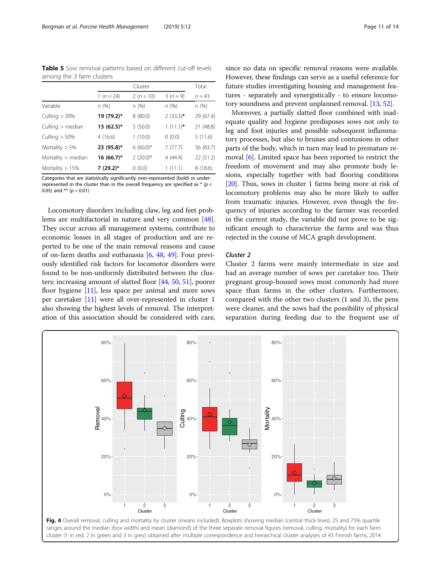<span id="page-10-0"></span>Table 5 Sow removal patterns based on different cut-off levels among the 3 farm clusters

|                      | Cluster        |             | Total       |           |
|----------------------|----------------|-------------|-------------|-----------|
|                      | 1 ( $n = 24$ ) | $2(n = 10)$ | $3(n=9)$    | $n = 43$  |
| Variable             | n(%)           | n (%)       | n(%)        | n (%)     |
| Culling $>30\%$      | 19 (79.2)*     | 8(80.0)     | $2(33.3)$ * | 29 (67.4) |
| Culling $>$ median   | $15(62.5)^*$   | 5(50.0)     | $1(11.1)^*$ | 21 (48.8) |
| Culling $> 50\%$     | 4(16.6)        | 1(10.0)     | 0(0.0)      | 5(11.6)   |
| Mortality $> 5\%$    | 23 (95.8)*     | $6(60.0)*$  | 7(77.7)     | 36 (83.7) |
| Mortality $>$ median | 16 (66.7)*     | $2(20.0)$ * | 4(44.4)     | 22(51.2)  |
| Mortality $> 15%$    | $7(29.2)^*$    | 0(0.0)      | 1(11.1)     | 8(18.6)   |

Categories that are statistically significantly over-represented (bold) or underrepresented in the cluster than in the overall frequency are specified as  $*$  ( $p$  < 0.05) and \*\* ( $p < 0.01$ )

Locomotory disorders including claw, leg and feet problems are multifactorial in nature and very common [[48](#page-13-0)]. They occur across all management systems, contribute to economic losses in all stages of production and are reported to be one of the main removal reasons and cause of on-farm deaths and euthanasia [[6](#page-12-0), [48,](#page-13-0) [49\]](#page-13-0). Four previously identified risk factors for locomotor disorders were found to be non-uniformly distributed between the clusters: increasing amount of slatted floor [\[44](#page-13-0), [50](#page-13-0), [51\]](#page-13-0), poorer floor hygiene [\[11\]](#page-12-0), less space per animal and more sows per caretaker [[11](#page-12-0)] were all over-represented in cluster 1 also showing the highest levels of removal. The interpretation of this association should be considered with care, since no data on specific removal reasons were available. However, these findings can serve as a useful reference for future studies investigating housing and management features - separately and synergistically - to ensure locomotory soundness and prevent unplanned removal. [[13,](#page-12-0) [52\]](#page-13-0).

Moreover, a partially slatted floor combined with inadequate quality and hygiene predisposes sows not only to leg and foot injuries and possible subsequent inflammatory processes, but also to bruises and contusions in other parts of the body, which in turn may lead to premature removal [\[6](#page-12-0)]. Limited space has been reported to restrict the freedom of movement and may also promote body lesions, especially together with bad flooring conditions [[20](#page-12-0)]. Thus, sows in cluster 1 farms being more at risk of locomotory problems may also be more likely to suffer from traumatic injuries. However, even though the frequency of injuries according to the farmer was recorded in the current study, the variable did not prove to be significant enough to characterize the farms and was thus rejected in the course of MCA graph development.

# Cluster 2

Cluster 2 farms were mainly intermediate in size and had an average number of sows per caretaker too. Their pregnant group-housed sows most commonly had more space than farms in the other clusters. Furthermore, compared with the other two clusters (1 and 3), the pens were cleaner, and the sows had the possibility of physical separation during feeding due to the frequent use of

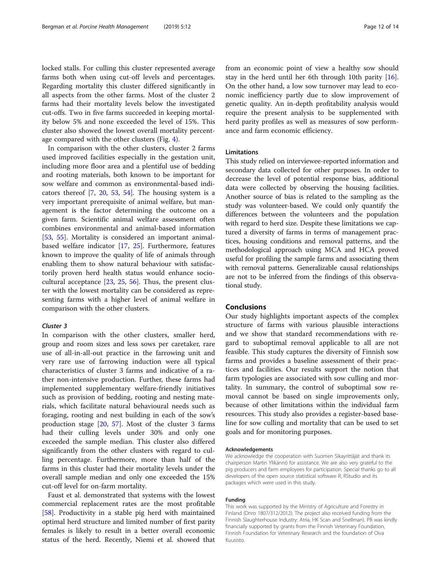locked stalls. For culling this cluster represented average farms both when using cut-off levels and percentages. Regarding mortality this cluster differed significantly in all aspects from the other farms. Most of the cluster 2 farms had their mortality levels below the investigated cut-offs. Two in five farms succeeded in keeping mortality below 5% and none exceeded the level of 15%. This cluster also showed the lowest overall mortality percentage compared with the other clusters (Fig. [4\)](#page-10-0).

In comparison with the other clusters, cluster 2 farms used improved facilities especially in the gestation unit, including more floor area and a plentiful use of bedding and rooting materials, both known to be important for sow welfare and common as environmental-based indicators thereof [\[7](#page-12-0), [20](#page-12-0), [53,](#page-13-0) [54](#page-13-0)]. The housing system is a very important prerequisite of animal welfare, but management is the factor determining the outcome on a given farm. Scientific animal welfare assessment often combines environmental and animal-based information [[53,](#page-13-0) [55](#page-13-0)]. Mortality is considered an important animalbased welfare indicator [[17,](#page-12-0) [25](#page-12-0)]. Furthermore, features known to improve the quality of life of animals through enabling them to show natural behaviour with satisfactorily proven herd health status would enhance sociocultural acceptance [\[23](#page-12-0), [25,](#page-12-0) [56](#page-13-0)]. Thus, the present cluster with the lowest mortality can be considered as representing farms with a higher level of animal welfare in comparison with the other clusters.

#### Cluster 3

In comparison with the other clusters, smaller herd, group and room sizes and less sows per caretaker, rare use of all-in-all-out practice in the farrowing unit and very rare use of farrowing induction were all typical characteristics of cluster 3 farms and indicative of a rather non-intensive production. Further, these farms had implemented supplementary welfare-friendly initiatives such as provision of bedding, rooting and nesting materials, which facilitate natural behavioural needs such as foraging, rooting and nest building in each of the sow's production stage [[20](#page-12-0), [57\]](#page-13-0). Most of the cluster 3 farms had their culling levels under 30% and only one exceeded the sample median. This cluster also differed significantly from the other clusters with regard to culling percentage. Furthermore, more than half of the farms in this cluster had their mortality levels under the overall sample median and only one exceeded the 15% cut-off level for on-farm mortality.

Faust et al. demonstrated that systems with the lowest commercial replacement rates are the most profitable [[58\]](#page-13-0). Productivity in a stable pig herd with maintained optimal herd structure and limited number of first parity females is likely to result in a better overall economic status of the herd. Recently, Niemi et al. showed that from an economic point of view a healthy sow should stay in the herd until her 6th through 10th parity [\[16](#page-12-0)]. On the other hand, a low sow turnover may lead to economic inefficiency partly due to slow improvement of genetic quality. An in-depth profitability analysis would require the present analysis to be supplemented with herd parity profiles as well as measures of sow performance and farm economic efficiency.

#### Limitations

This study relied on interviewee-reported information and secondary data collected for other purposes. In order to decrease the level of potential response bias, additional data were collected by observing the housing facilities. Another source of bias is related to the sampling as the study was volunteer-based. We could only quantify the differences between the volunteers and the population with regard to herd size. Despite these limitations we captured a diversity of farms in terms of management practices, housing conditions and removal patterns, and the methodological approach using MCA and HCA proved useful for profiling the sample farms and associating them with removal patterns. Generalizable causal relationships are not to be inferred from the findings of this observational study.

# Conclusions

Our study highlights important aspects of the complex structure of farms with various plausible interactions and we show that standard recommendations with regard to suboptimal removal applicable to all are not feasible. This study captures the diversity of Finnish sow farms and provides a baseline assessment of their practices and facilities. Our results support the notion that farm typologies are associated with sow culling and mortality. In summary, the control of suboptimal sow removal cannot be based on single improvements only, because of other limitations within the individual farm resources. This study also provides a register-based baseline for sow culling and mortality that can be used to set goals and for monitoring purposes.

#### Acknowledgements

We acknowledge the cooperation with Suomen Sikayrittäjät and thank its chairperson Martin Ylikännö for assistance. We are also very grateful to the pig producers and farm employees for participation. Special thanks go to all developers of the open source statistical software R, RStudio and its packages which were used in this study.

#### Funding

This work was supported by the Ministry of Agriculture and Forestry in Finland (Dnro 1807/312/2012). The project also received funding from the Finnish Slaughterhouse Industry: Atria, HK Scan and Snellman). PB was kindly financially supported by grants from the Finnish Veterinary Foundation, Finnish Foundation for Veterinary Research and the foundation of Oiva Kuusisto.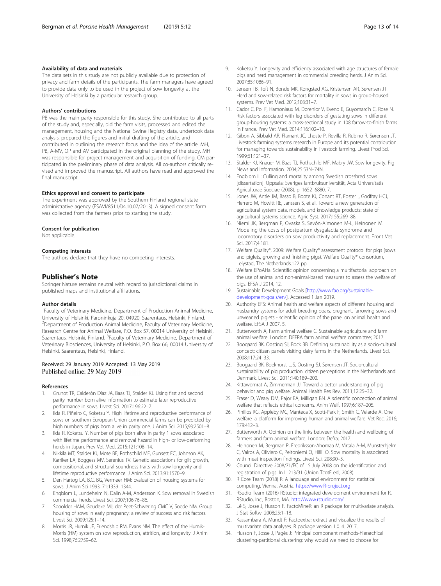#### <span id="page-12-0"></span>Availability of data and materials

The data sets in this study are not publicly available due to protection of privacy and farm details of the participants. The farm managers have agreed to provide data only to be used in the project of sow longevity at the University of Helsinki by a particular research group.

#### Authors' contributions

PB was the main party responsible for this study. She contributed to all parts of the study and, especially, did the farm visits, processed and edited the management, housing and the National Swine Registry data, undertook data analysis, prepared the figures and initial drafting of the article, and contributed in outlining the research focus and the idea of the article. MH, PB, A-MV, OP and AV participated in the original planning of the study. MH was responsible for project management and acquisition of funding. CM participated in the preliminary phase of data analysis. All co-authors critically revised and improved the manuscript. All authors have read and approved the final manuscript.

#### Ethics approval and consent to participate

The experiment was approved by the Southern Finland regional state administrative agency (ESAVI/8511/04.10.07/2013). A signed consent form was collected from the farmers prior to starting the study.

#### Consent for publication

Not applicable.

#### Competing interests

The authors declare that they have no competing interests.

#### Publisher's Note

Springer Nature remains neutral with regard to jurisdictional claims in published maps and institutional affiliations.

#### Author details

<sup>1</sup> Faculty of Veterinary Medicine, Department of Production Animal Medicine, University of Helsinki, Paroninkuja 20, 04920, Saarentaus, Helsinki, Finland. <sup>2</sup>Department of Production Animal Medicine, Faculty of Veterinary Medicine, Research Centre for Animal Welfare, P.O. Box 57, 00014 University of Helsinki, Saarentaus, Helsinki, Finland. <sup>3</sup> Faculty of Veterinary Medicine, Department of Veterinary Biosciences, University of Helsinki, P.O. Box 66, 00014 University of Helsinki, Saarentaus, Helsinki, Finland.

#### Received: 29 January 2019 Accepted: 13 May 2019 Published online: 29 May 2019

#### References

- 1. Gruhot TR, Calderón Díaz JA, Baas TJ, Stalder KJ. Using first and second parity number born alive information to estimate later reproductive performance in sows. Livest Sci. 2017;196:22–7.
- 2. Iida R, Piñeiro C, Koketsu Y. High lifetime and reproductive performance of sows on southern European Union commercial farms can be predicted by high numbers of pigs born alive in parity one. J Anim Sci. 2015;93:2501–8.
- 3. Iida R, Koketsu Y. Number of pigs born alive in parity 1 sows associated with lifetime performance and removal hazard in high- or low-performing herds in Japan. Prev Vet Med. 2015;121:108–14.
- 4. Nikkila MT, Stalder KJ, Mote BE, Rothschild MF, Gunsett FC, Johnson AK, Karriker LA, Boggess MV, Serenius TV. Genetic associations for gilt growth, compositional, and structural soundness traits with sow longevity and lifetime reproductive performance. J Anim Sci. 2013;91:1570–9.
- 5. Den Hartog LA, B.C. BG, Vermeer HM: Evaluation of housing systems for sows. J Anim Sci 1993, 71:1339–1344.
- 6. Engblom L, Lundeheim N, Dalin A-M, Andersson K. Sow removal in Swedish commercial herds. Livest Sci. 2007;106:76–86.
- 7. Spoolder HAM, Geudeke MJ, der Peet-Schwering CMC V, Soede NM. Group housing of sows in early pregnancy: a review of success and risk factors. Livest Sci. 2009;125:1–14.
- Morris JR, Hurnik JF, Friendship RM, Evans NM. The effect of the Hurnik-Morris (HM) system on sow reproduction, attrition, and longevity. J Anim Sci. 1998;76:2759–62.
- Koketsu Y. Longevity and efficiency associated with age structures of female pigs and herd management in commercial breeding herds. J Anim Sci. 2007;85:1086–91.
- 10. Jensen TB, Toft N, Bonde MK, Kongsted AG, Kristensen AR, Sørensen JT. Herd and sow-related risk factors for mortality in sows in group-housed systems. Prev Vet Med. 2012;103:31–7.
- 11. Cador C, Pol F, Hamoniaux M, Dorenlor V, Eveno E, Guyomarc'h C, Rose N. Risk factors associated with leg disorders of gestating sows in different group-housing systems: a cross-sectional study in 108 farrow-to-finish farms in France. Prev Vet Med. 2014;116:102–10.
- 12. Gibon A, Sibbald AR, Flamant JC, Lhoste P, Revilla R, Rubino R, Sørensen JT. Livestock farming systems research in Europe and its potential contribution for managing towards sustainability in livestock farming. Livest Prod Sci. 1999;61:121–37.
- 13. Stalder KJ, Knauer M, Baas TJ, Rothschild MF, Mabry JW. Sow longevity. Pig News and Information. 2004;25:53N–74N.
- 14. Engblom L.: Culling and mortality among Swedish crossbred sows [dissertation]. Uppsala: Sveriges lantbruksuniversität, Acta Universitatis Agriculturae Sueciae (2008). p. 1652–6880, 7.
- 15. Jones JW, Antle JM, Basso B, Boote KJ, Conant RT, Foster I, Godfray HCJ, Herrero M, Howitt RE, Janssen S, et al. Toward a new generation of agricultural system data, models, and knowledge products: state of agricultural systems science. Agric Syst. 2017;155:269–88.
- 16. Niemi JK, Bergman P, Ovaska S, Sevón-Aimonen M-L, Heinonen M. Modeling the costs of postpartum dysgalactia syndrome and locomotory disorders on sow productivity and replacement. Front Vet Sci. 2017;4:181.
- 17. Welfare Quality®, 2009: Welfare Quality® assessment protocol for pigs (sows and piglets, growing and finishing pigs). Welfare Quality® consortium, Lelystad, The Netherlands.122 pp.
- 18. Welfare EPoAHa: Scientific opinion concerning a multifactorial approach on the use of animal and non-animal-based measures to assess the welfare of pigs. EFSA J 2014, 12.
- 19. Sustainable Development Goals [\[http://www.fao.org/sustainable](http://www.fao.org/sustainable-development-goals/en/)[development-goals/en/\]](http://www.fao.org/sustainable-development-goals/en/). Accessed 1 Jan 2019.
- 20. Authority EFS: Animal health and welfare aspects of different housing and husbandry systems for adult breeding boars, pregnant, farrowing sows and unweaned piglets - scientific opinion of the panel on animal health and welfare. EFSA J 2007, 5.
- 21. Butterworth A, Farm animal welfare C. Sustainable agriculture and farm animal welfare. London: DEFRA farm animal welfare committee; 2017.
- 22. Boogaard BK, Oosting SJ, Bock BB. Defining sustainability as a socio-cultural concept: citizen panels visiting dairy farms in the Netherlands. Livest Sci. 2008;117:24–33.
- 23. Boogaard BK, Boekhorst LJS, Oosting SJ, Sørensen JT. Socio-cultural sustainability of pig production: citizen perceptions in the Netherlands and Denmark. Livest Sci. 2011;140:189–200.
- 24. Kittawornrat A, Zimmerman JJ. Toward a better understanding of pig behavior and pig welfare. Animal Health Res Rev. 2011;12:25–32.
- 25. Fraser D, Weary DM, Pajor EA, Milligan BN. A scientific conception of animal welfare that reflects ethical concerns. Anim Welf. 1997;6:187–205.
- Pinillos RG, Appleby MC, Manteca X, Scott-Park F, Smith C, Velarde A. One welfare–a platform for improving human and animal welfare. Vet Rec. 2016; 179:412–3.
- 27. Butterworth A. Opinion on the links between the health and wellbeing of farmers and farm animal welfare. London: Defra: 2017.
- 28. Heinonen M, Bergman P, Fredriksson-Ahomaa M, Virtala A-M, Munsterhjelm C, Valros A, Oliviero C, Peltoniemi O, Hälli O. Sow mortality is associated with meat inspection findings. Livest Sci. 208:90–5.
- 29. Council Directive 2008/71/EC of 15 July 2008 on the identification and registration of pigs. In L 213/31 (Union TcotE ed.; 2008).
- 30. R Core Team (2018) R: A language and environment for statistical computing. Vienna, Austria. [https://www.R-project.org](https://www.r-project.org)
- 31. RSudio Team (2016) RStudio: integrated development environment for R. RStudio, Inc., Boston, MA. <http://www.rstudio.com/>
- 32. Lê S, Josse J, Husson F. FactoMineR: an R package for multivariate analysis. J Stat Softw. 2008;25:1–18.
- 33. Kassambara A, Mundt F: Factoextra: extract and visualize the results of multivariate data analyses. R package version 1.0. 4. 2017.
- 34. Husson F, Josse J, Pagès J: Principal component methods-hierarchical clustering-partitional clustering: why would we need to choose for